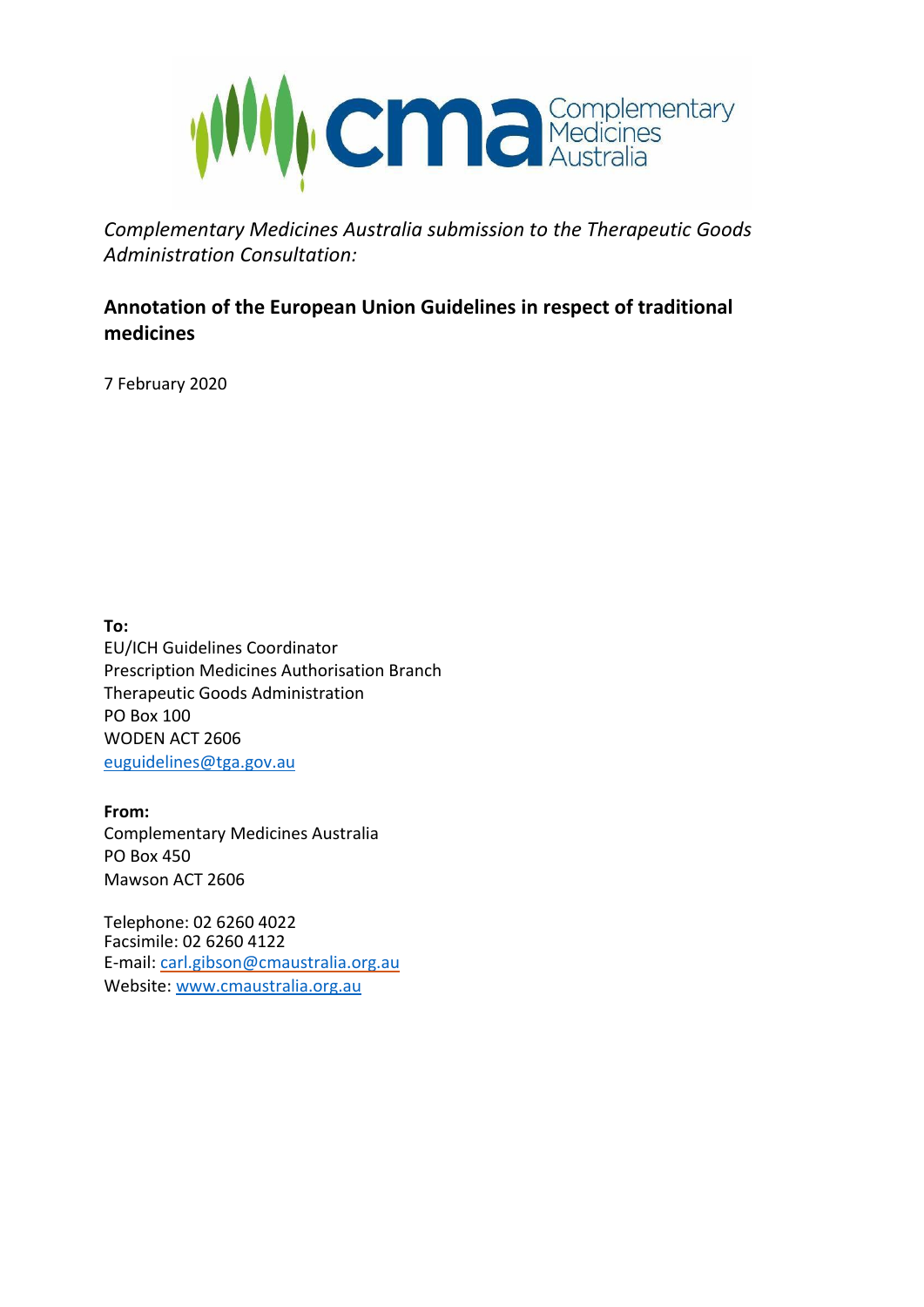

*Complementary Medicines Australia submission to the Therapeutic Goods Administration Consultation:*

# **Annotation of the European Union Guidelines in respect of traditional medicines**

7 February 2020

**To:** EU/ICH Guidelines Coordinator Prescription Medicines Authorisation Branch Therapeutic Goods Administration PO Box 100 WODEN ACT 2606 [euguidelines@tga.gov.au](mailto:euguidelines@tga.gov.au)

**From:** Complementary Medicines Australia PO Box 450 Mawson ACT 2606

Telephone: 02 6260 4022 Facsimile: 02 6260 4122 E-mail: [carl.gibson@cmaustralia.org.au](mailto:carl.gibson@cmaustralia.org.au) Website: [www.cmaustralia.org.au](http://www.cmaustralia.org.au/)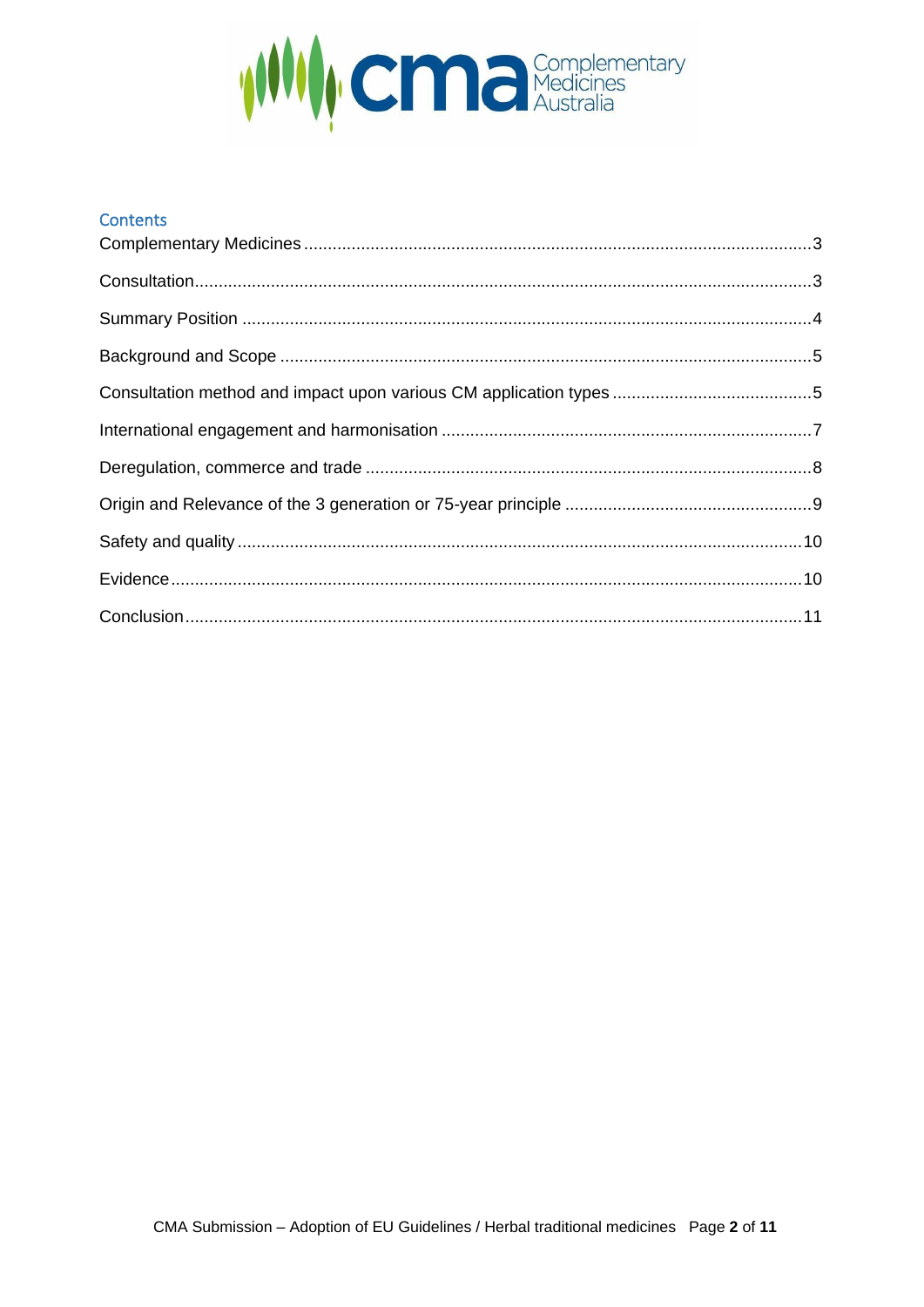

#### **Contents**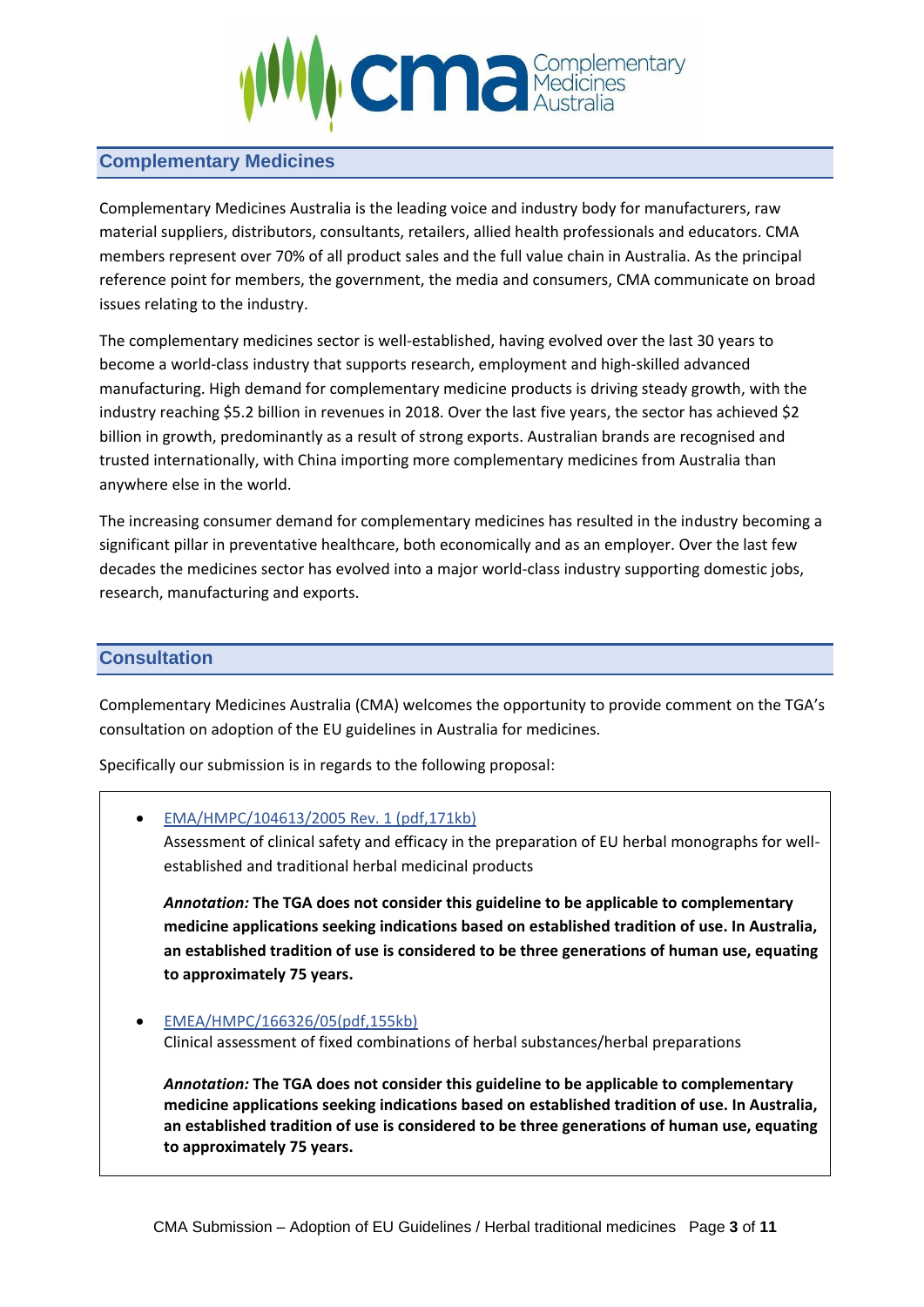

## <span id="page-2-0"></span>**Complementary Medicines**

Complementary Medicines Australia is the leading voice and industry body for manufacturers, raw material suppliers, distributors, consultants, retailers, allied health professionals and educators. CMA members represent over 70% of all product sales and the full value chain in Australia. As the principal reference point for members, the government, the media and consumers, CMA communicate on broad issues relating to the industry.

The complementary medicines sector is well-established, having evolved over the last 30 years to become a world-class industry that supports research, employment and high-skilled advanced manufacturing. High demand for complementary medicine products is driving steady growth, with the industry reaching \$5.2 billion in revenues in 2018. Over the last five years, the sector has achieved \$2 billion in growth, predominantly as a result of strong exports. Australian brands are recognised and trusted internationally, with China importing more complementary medicines from Australia than anywhere else in the world.

The increasing consumer demand for complementary medicines has resulted in the industry becoming a significant pillar in preventative healthcare, both economically and as an employer. Over the last few decades the medicines sector has evolved into a major world-class industry supporting domestic jobs, research, manufacturing and exports.

## <span id="page-2-1"></span>**Consultation**

Complementary Medicines Australia (CMA) welcomes the opportunity to provide comment on the TGA's consultation on adoption of the EU guidelines in Australia for medicines.

Specifically our submission is in regards to the following proposal:

• [EMA/HMPC/104613/2005 Rev. 1 \(pdf,171kb\)](https://www.ema.europa.eu/en/documents/scientific-guideline/draft-guideline-assessment-clinical-safety-efficacy-preparation-european-union-herbal-monographs_en.pdf)

Assessment of clinical safety and efficacy in the preparation of EU herbal monographs for wellestablished and traditional herbal medicinal products

*Annotation:* **The TGA does not consider this guideline to be applicable to complementary medicine applications seeking indications based on established tradition of use. In Australia, an established tradition of use is considered to be three generations of human use, equating to approximately 75 years.**

• [EMEA/HMPC/166326/05\(pdf,155kb\)](https://www.ema.europa.eu/en/documents/scientific-guideline/guideline-clinical-assessment-fixed-combinations-herbal-substances/herbal-preparations_en.pdf) Clinical assessment of fixed combinations of herbal substances/herbal preparations

*Annotation:* **The TGA does not consider this guideline to be applicable to complementary medicine applications seeking indications based on established tradition of use. In Australia, an established tradition of use is considered to be three generations of human use, equating to approximately 75 years.**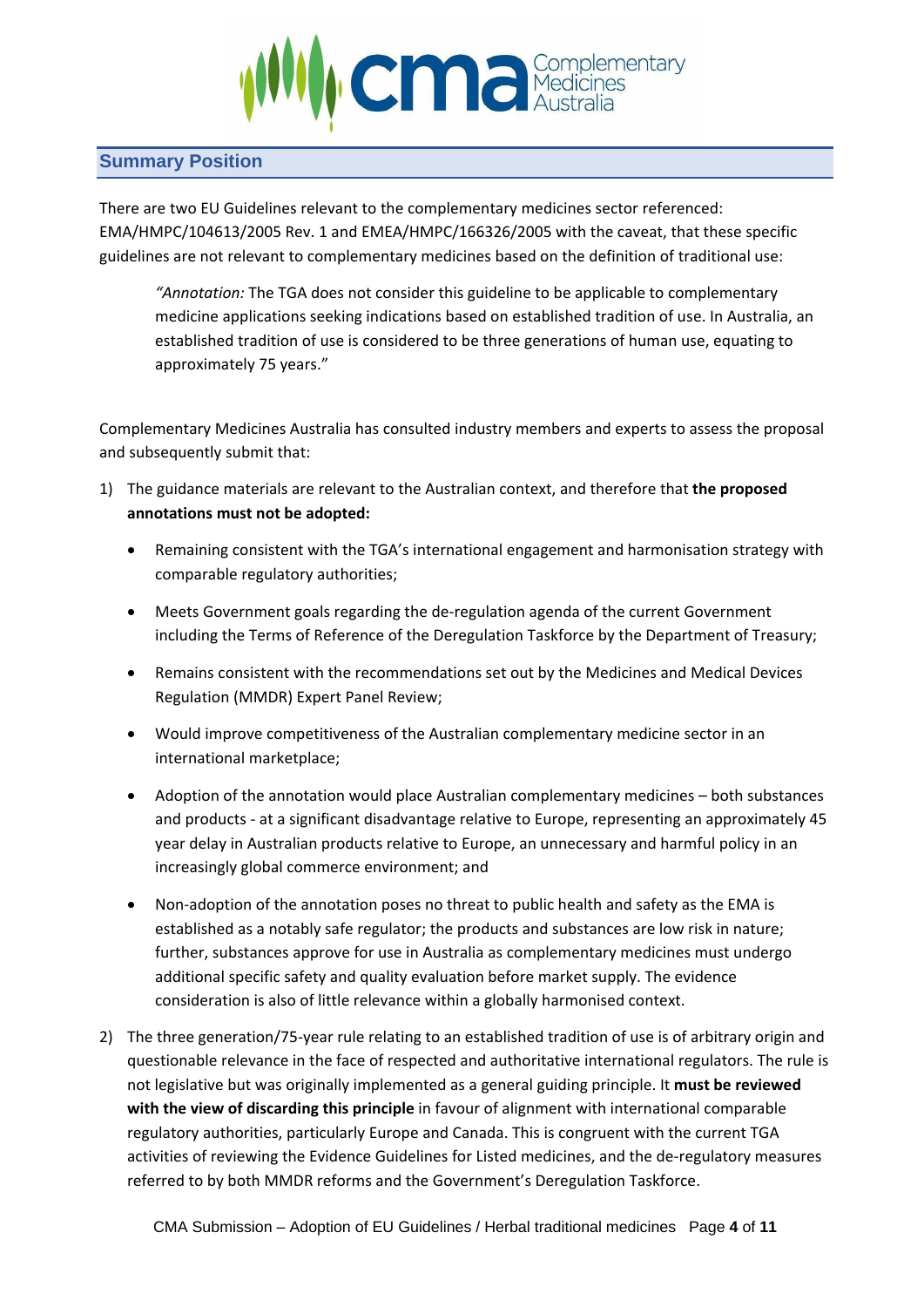

### <span id="page-3-0"></span>**Summary Position**

There are two EU Guidelines relevant to the complementary medicines sector referenced: EMA/HMPC/104613/2005 Rev. 1 and EMEA/HMPC/166326/2005 with the caveat, that these specific guidelines are not relevant to complementary medicines based on the definition of traditional use:

*"Annotation:* The TGA does not consider this guideline to be applicable to complementary medicine applications seeking indications based on established tradition of use. In Australia, an established tradition of use is considered to be three generations of human use, equating to approximately 75 years."

Complementary Medicines Australia has consulted industry members and experts to assess the proposal and subsequently submit that:

- 1) The guidance materials are relevant to the Australian context, and therefore that **the proposed annotations must not be adopted:**
	- Remaining consistent with the TGA's international engagement and harmonisation strategy with comparable regulatory authorities;
	- Meets Government goals regarding the de-regulation agenda of the current Government including the Terms of Reference of the Deregulation Taskforce by the Department of Treasury;
	- Remains consistent with the recommendations set out by the Medicines and Medical Devices Regulation (MMDR) Expert Panel Review;
	- Would improve competitiveness of the Australian complementary medicine sector in an international marketplace;
	- Adoption of the annotation would place Australian complementary medicines both substances and products - at a significant disadvantage relative to Europe, representing an approximately 45 year delay in Australian products relative to Europe, an unnecessary and harmful policy in an increasingly global commerce environment; and
	- Non-adoption of the annotation poses no threat to public health and safety as the EMA is established as a notably safe regulator; the products and substances are low risk in nature; further, substances approve for use in Australia as complementary medicines must undergo additional specific safety and quality evaluation before market supply. The evidence consideration is also of little relevance within a globally harmonised context.
- 2) The three generation/75-year rule relating to an established tradition of use is of arbitrary origin and questionable relevance in the face of respected and authoritative international regulators. The rule is not legislative but was originally implemented as a general guiding principle. It **must be reviewed with the view of discarding this principle** in favour of alignment with international comparable regulatory authorities, particularly Europe and Canada. This is congruent with the current TGA activities of reviewing the Evidence Guidelines for Listed medicines, and the de-regulatory measures referred to by both MMDR reforms and the Government's Deregulation Taskforce.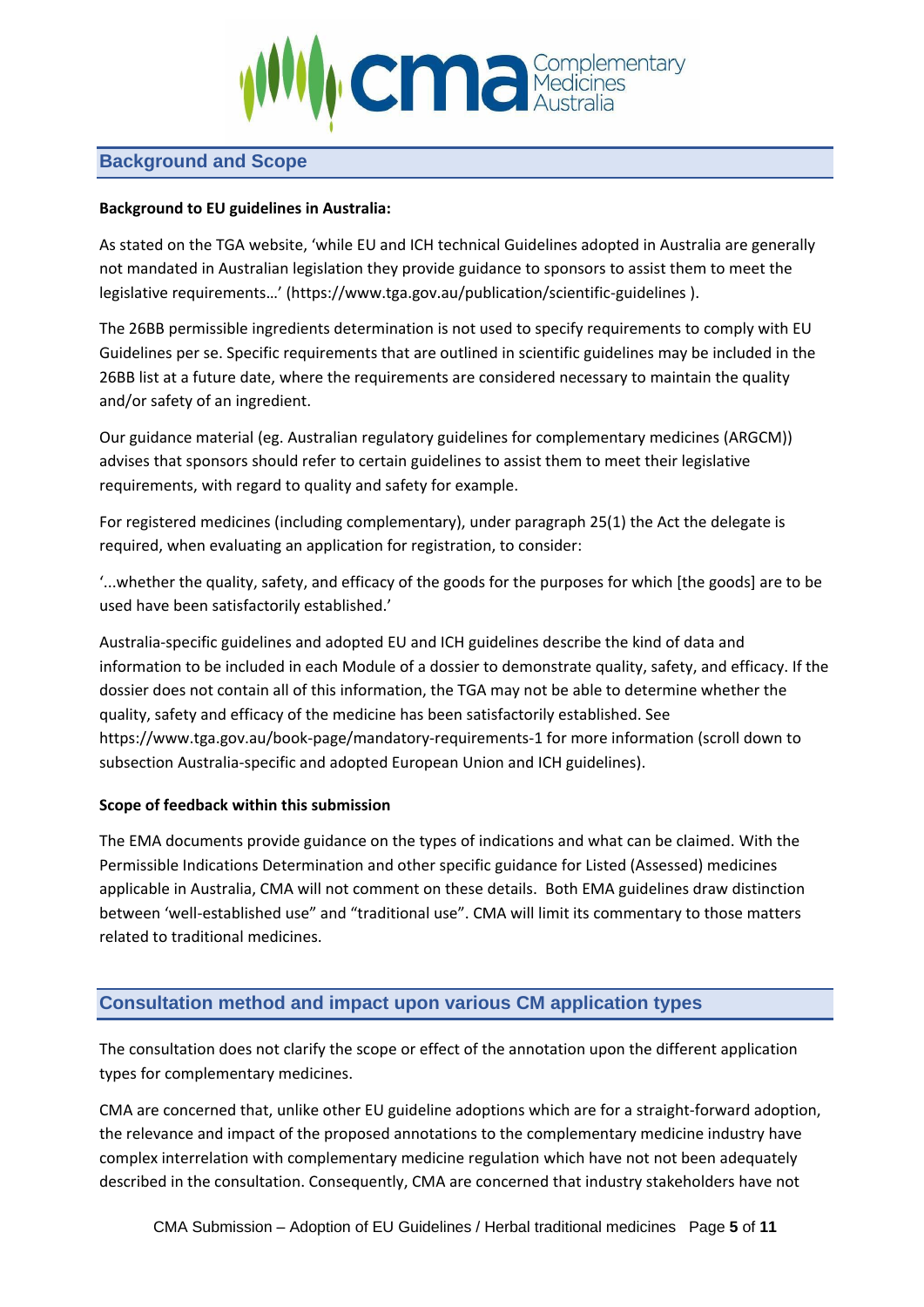

## <span id="page-4-0"></span>**Background and Scope**

#### **Background to EU guidelines in Australia:**

As stated on the TGA website, 'while EU and ICH technical Guidelines adopted in Australia are generally not mandated in Australian legislation they provide guidance to sponsors to assist them to meet the legislative requirements…' (https://www.tga.gov.au/publication/scientific-guidelines ).

The 26BB permissible ingredients determination is not used to specify requirements to comply with EU Guidelines per se. Specific requirements that are outlined in scientific guidelines may be included in the 26BB list at a future date, where the requirements are considered necessary to maintain the quality and/or safety of an ingredient.

Our guidance material (eg. Australian regulatory guidelines for complementary medicines (ARGCM)) advises that sponsors should refer to certain guidelines to assist them to meet their legislative requirements, with regard to quality and safety for example.

For registered medicines (including complementary), under paragraph 25(1) the Act the delegate is required, when evaluating an application for registration, to consider:

'...whether the quality, safety, and efficacy of the goods for the purposes for which [the goods] are to be used have been satisfactorily established.'

Australia-specific guidelines and adopted EU and ICH guidelines describe the kind of data and information to be included in each Module of a dossier to demonstrate quality, safety, and efficacy. If the dossier does not contain all of this information, the TGA may not be able to determine whether the quality, safety and efficacy of the medicine has been satisfactorily established. See https://www.tga.gov.au/book-page/mandatory-requirements-1 for more information (scroll down to subsection Australia-specific and adopted European Union and ICH guidelines).

#### **Scope of feedback within this submission**

The EMA documents provide guidance on the types of indications and what can be claimed. With the Permissible Indications Determination and other specific guidance for Listed (Assessed) medicines applicable in Australia, CMA will not comment on these details. Both EMA guidelines draw distinction between 'well-established use" and "traditional use". CMA will limit its commentary to those matters related to traditional medicines.

## <span id="page-4-1"></span>**Consultation method and impact upon various CM application types**

The consultation does not clarify the scope or effect of the annotation upon the different application types for complementary medicines.

CMA are concerned that, unlike other EU guideline adoptions which are for a straight-forward adoption, the relevance and impact of the proposed annotations to the complementary medicine industry have complex interrelation with complementary medicine regulation which have not not been adequately described in the consultation. Consequently, CMA are concerned that industry stakeholders have not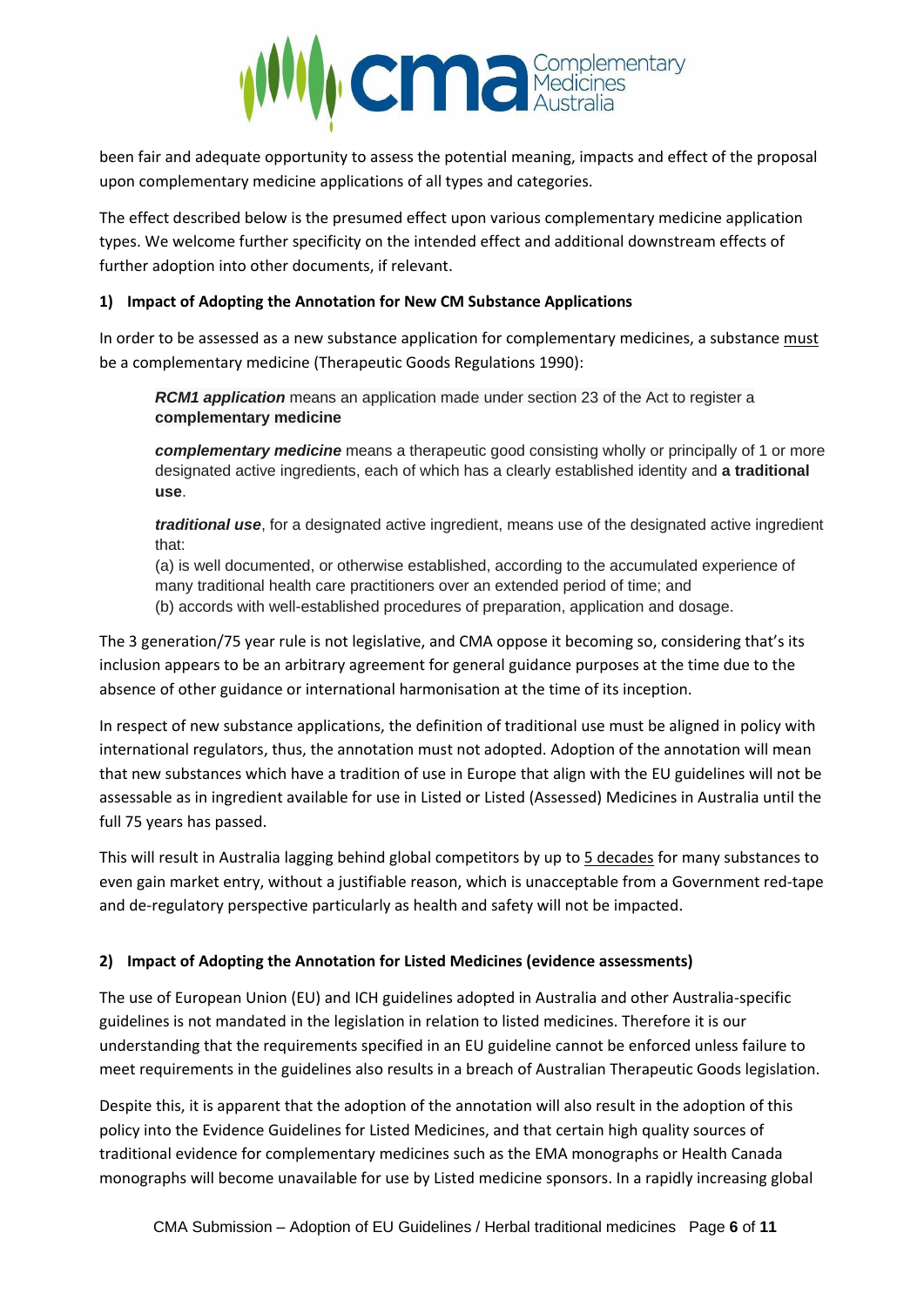

been fair and adequate opportunity to assess the potential meaning, impacts and effect of the proposal upon complementary medicine applications of all types and categories.

The effect described below is the presumed effect upon various complementary medicine application types. We welcome further specificity on the intended effect and additional downstream effects of further adoption into other documents, if relevant.

#### **1) Impact of Adopting the Annotation for New CM Substance Applications**

In order to be assessed as a new substance application for complementary medicines, a substance must be a complementary medicine (Therapeutic Goods Regulations 1990):

*RCM1 application* means an application made under section 23 of the Act to register a **complementary medicine**

*complementary medicine* means a therapeutic good consisting wholly or principally of 1 or more designated active ingredients, each of which has a clearly established identity and **a traditional use**.

*traditional use*, for a designated active ingredient, means use of the designated active ingredient that:

(a) is well documented, or otherwise established, according to the accumulated experience of many traditional health care practitioners over an extended period of time; and (b) accords with well-established procedures of preparation, application and dosage.

The 3 generation/75 year rule is not legislative, and CMA oppose it becoming so, considering that's its inclusion appears to be an arbitrary agreement for general guidance purposes at the time due to the absence of other guidance or international harmonisation at the time of its inception.

In respect of new substance applications, the definition of traditional use must be aligned in policy with international regulators, thus, the annotation must not adopted. Adoption of the annotation will mean that new substances which have a tradition of use in Europe that align with the EU guidelines will not be assessable as in ingredient available for use in Listed or Listed (Assessed) Medicines in Australia until the full 75 years has passed.

This will result in Australia lagging behind global competitors by up to 5 decades for many substances to even gain market entry, without a justifiable reason, which is unacceptable from a Government red-tape and de-regulatory perspective particularly as health and safety will not be impacted.

#### **2) Impact of Adopting the Annotation for Listed Medicines (evidence assessments)**

The use of European Union (EU) and ICH guidelines adopted in Australia and other Australia-specific guidelines is not mandated in the legislation in relation to listed medicines. Therefore it is our understanding that the requirements specified in an EU guideline cannot be enforced unless failure to meet requirements in the guidelines also results in a breach of Australian Therapeutic Goods legislation.

Despite this, it is apparent that the adoption of the annotation will also result in the adoption of this policy into the Evidence Guidelines for Listed Medicines, and that certain high quality sources of traditional evidence for complementary medicines such as the EMA monographs or Health Canada monographs will become unavailable for use by Listed medicine sponsors. In a rapidly increasing global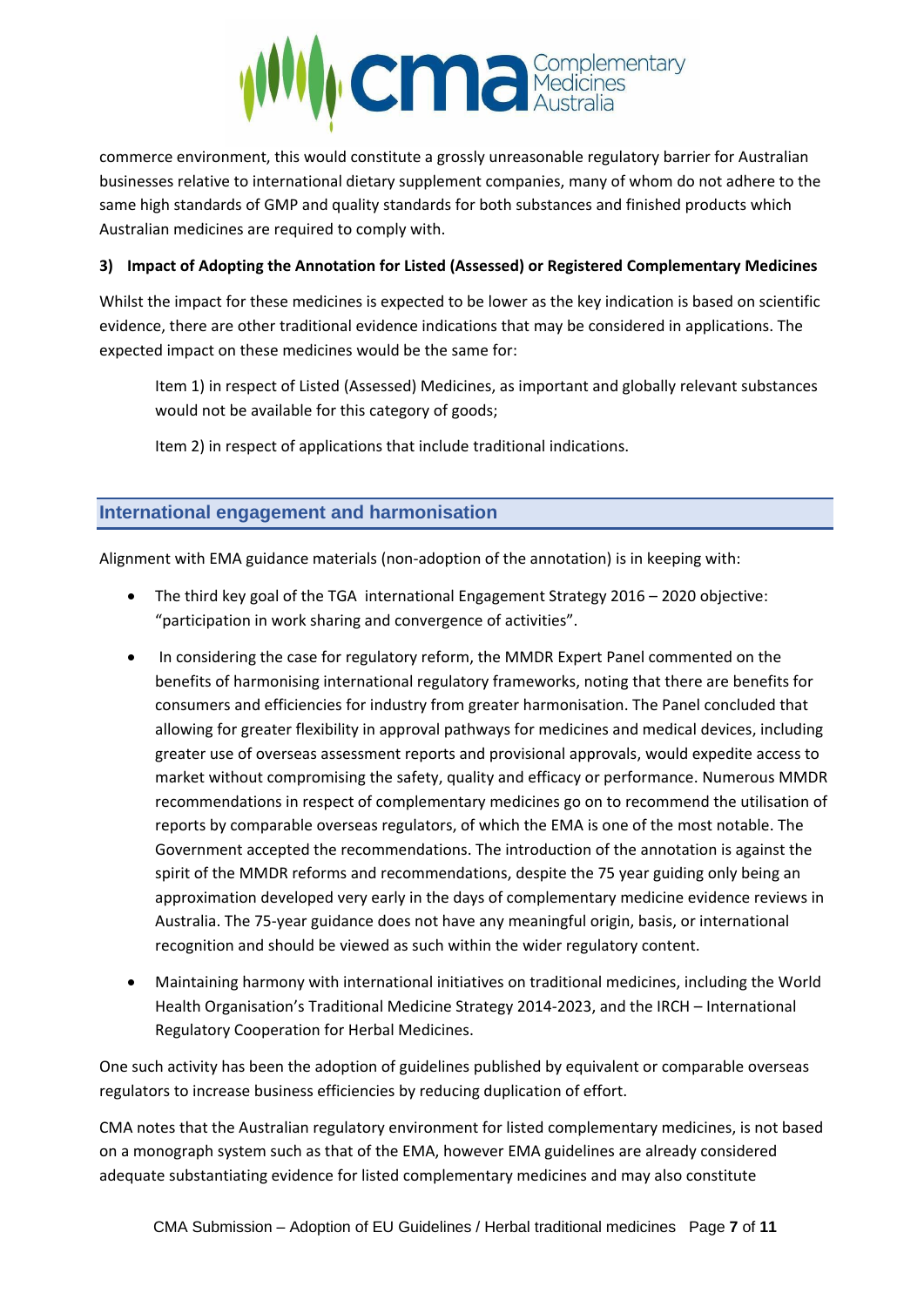

commerce environment, this would constitute a grossly unreasonable regulatory barrier for Australian businesses relative to international dietary supplement companies, many of whom do not adhere to the same high standards of GMP and quality standards for both substances and finished products which Australian medicines are required to comply with.

#### **3) Impact of Adopting the Annotation for Listed (Assessed) or Registered Complementary Medicines**

Whilst the impact for these medicines is expected to be lower as the key indication is based on scientific evidence, there are other traditional evidence indications that may be considered in applications. The expected impact on these medicines would be the same for:

Item 1) in respect of Listed (Assessed) Medicines, as important and globally relevant substances would not be available for this category of goods;

Item 2) in respect of applications that include traditional indications.

## <span id="page-6-0"></span>**International engagement and harmonisation**

Alignment with EMA guidance materials (non-adoption of the annotation) is in keeping with:

- The third key goal of the TGA international Engagement Strategy 2016 2020 objective: "participation in work sharing and convergence of activities".
- In considering the case for regulatory reform, the MMDR Expert Panel commented on the benefits of harmonising international regulatory frameworks, noting that there are benefits for consumers and efficiencies for industry from greater harmonisation. The Panel concluded that allowing for greater flexibility in approval pathways for medicines and medical devices, including greater use of overseas assessment reports and provisional approvals, would expedite access to market without compromising the safety, quality and efficacy or performance. Numerous MMDR recommendations in respect of complementary medicines go on to recommend the utilisation of reports by comparable overseas regulators, of which the EMA is one of the most notable. The Government accepted the recommendations. The introduction of the annotation is against the spirit of the MMDR reforms and recommendations, despite the 75 year guiding only being an approximation developed very early in the days of complementary medicine evidence reviews in Australia. The 75-year guidance does not have any meaningful origin, basis, or international recognition and should be viewed as such within the wider regulatory content.
- Maintaining harmony with international initiatives on traditional medicines, including the World Health Organisation's Traditional Medicine Strategy 2014-2023, and the IRCH – International Regulatory Cooperation for Herbal Medicines.

One such activity has been the adoption of guidelines published by equivalent or comparable overseas regulators to increase business efficiencies by reducing duplication of effort.

CMA notes that the Australian regulatory environment for listed complementary medicines, is not based on a monograph system such as that of the EMA, however EMA guidelines are already considered adequate substantiating evidence for listed complementary medicines and may also constitute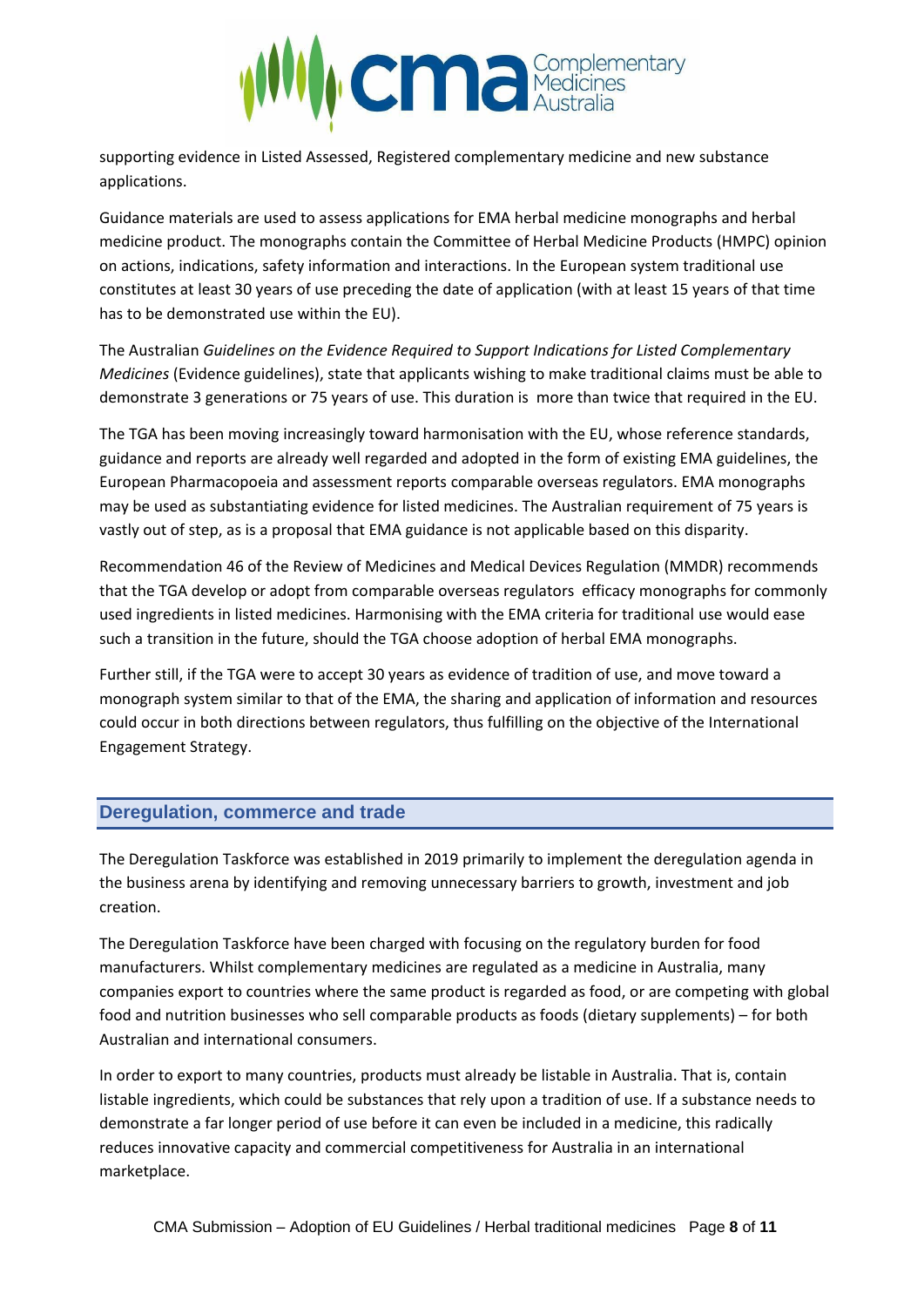

supporting evidence in Listed Assessed, Registered complementary medicine and new substance applications.

Guidance materials are used to assess applications for EMA herbal medicine monographs and herbal medicine product. The monographs contain the Committee of Herbal Medicine Products (HMPC) opinion on actions, indications, safety information and interactions. In the European system traditional use constitutes at least 30 years of use preceding the date of application (with at least 15 years of that time has to be demonstrated use within the EU).

The Australian *Guidelines on the Evidence Required to Support Indications for Listed Complementary Medicines* (Evidence guidelines), state that applicants wishing to make traditional claims must be able to demonstrate 3 generations or 75 years of use. This duration is more than twice that required in the EU.

The TGA has been moving increasingly toward harmonisation with the EU, whose reference standards, guidance and reports are already well regarded and adopted in the form of existing EMA guidelines, the European Pharmacopoeia and assessment reports comparable overseas regulators. EMA monographs may be used as substantiating evidence for listed medicines. The Australian requirement of 75 years is vastly out of step, as is a proposal that EMA guidance is not applicable based on this disparity.

Recommendation 46 of the Review of Medicines and Medical Devices Regulation (MMDR) recommends that the TGA develop or adopt from comparable overseas regulators efficacy monographs for commonly used ingredients in listed medicines. Harmonising with the EMA criteria for traditional use would ease such a transition in the future, should the TGA choose adoption of herbal EMA monographs.

Further still, if the TGA were to accept 30 years as evidence of tradition of use, and move toward a monograph system similar to that of the EMA, the sharing and application of information and resources could occur in both directions between regulators, thus fulfilling on the objective of the International Engagement Strategy.

## <span id="page-7-0"></span>**Deregulation, commerce and trade**

The Deregulation Taskforce was established in 2019 primarily to implement the deregulation agenda in the business arena by identifying and removing unnecessary barriers to growth, investment and job creation.

The Deregulation Taskforce have been charged with focusing on the regulatory burden for food manufacturers. Whilst complementary medicines are regulated as a medicine in Australia, many companies export to countries where the same product is regarded as food, or are competing with global food and nutrition businesses who sell comparable products as foods (dietary supplements) – for both Australian and international consumers.

In order to export to many countries, products must already be listable in Australia. That is, contain listable ingredients, which could be substances that rely upon a tradition of use. If a substance needs to demonstrate a far longer period of use before it can even be included in a medicine, this radically reduces innovative capacity and commercial competitiveness for Australia in an international marketplace.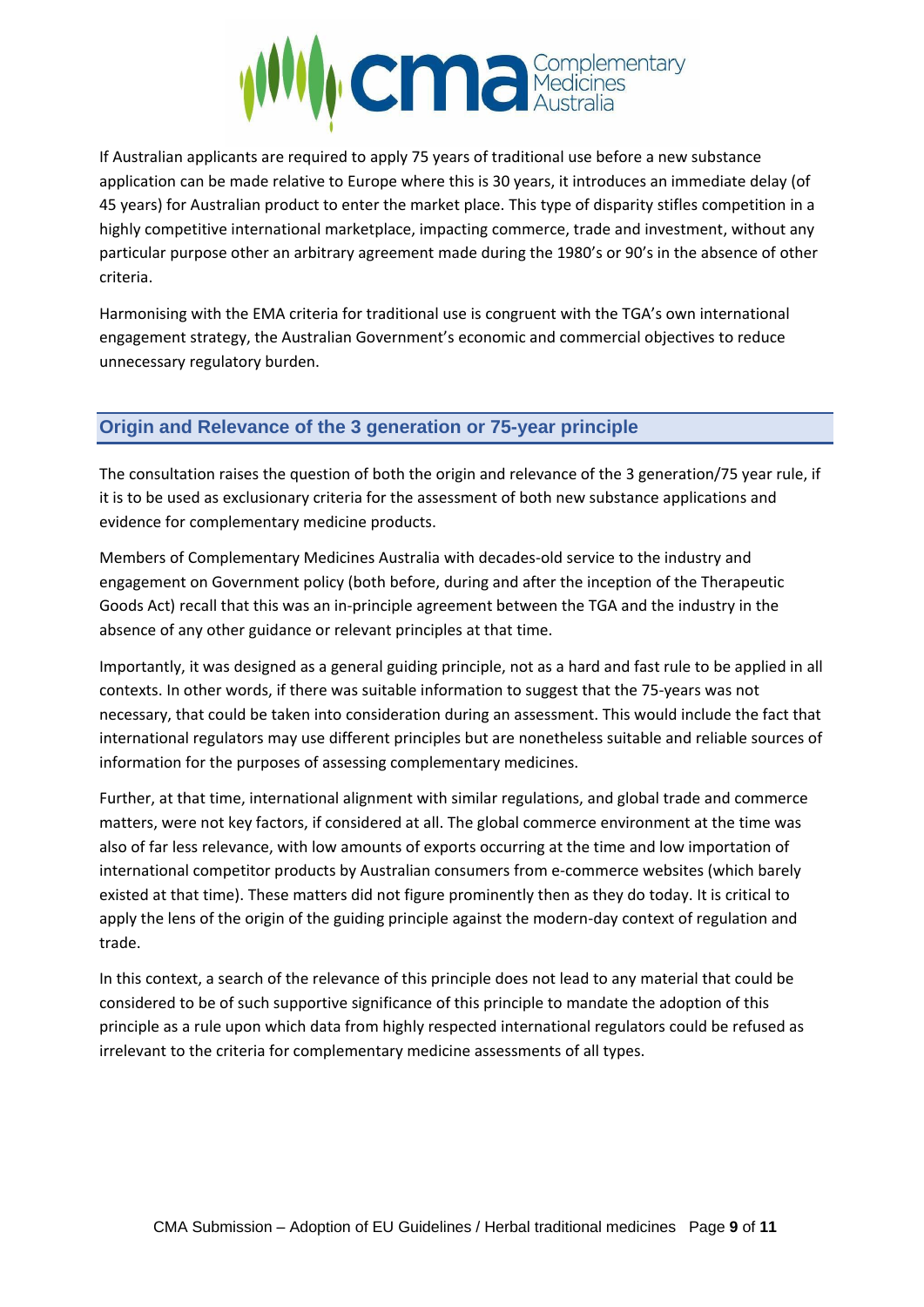

If Australian applicants are required to apply 75 years of traditional use before a new substance application can be made relative to Europe where this is 30 years, it introduces an immediate delay (of 45 years) for Australian product to enter the market place. This type of disparity stifles competition in a highly competitive international marketplace, impacting commerce, trade and investment, without any particular purpose other an arbitrary agreement made during the 1980's or 90's in the absence of other criteria.

Harmonising with the EMA criteria for traditional use is congruent with the TGA's own international engagement strategy, the Australian Government's economic and commercial objectives to reduce unnecessary regulatory burden.

## <span id="page-8-0"></span>**Origin and Relevance of the 3 generation or 75-year principle**

The consultation raises the question of both the origin and relevance of the 3 generation/75 year rule, if it is to be used as exclusionary criteria for the assessment of both new substance applications and evidence for complementary medicine products.

Members of Complementary Medicines Australia with decades-old service to the industry and engagement on Government policy (both before, during and after the inception of the Therapeutic Goods Act) recall that this was an in-principle agreement between the TGA and the industry in the absence of any other guidance or relevant principles at that time.

Importantly, it was designed as a general guiding principle, not as a hard and fast rule to be applied in all contexts. In other words, if there was suitable information to suggest that the 75-years was not necessary, that could be taken into consideration during an assessment. This would include the fact that international regulators may use different principles but are nonetheless suitable and reliable sources of information for the purposes of assessing complementary medicines.

Further, at that time, international alignment with similar regulations, and global trade and commerce matters, were not key factors, if considered at all. The global commerce environment at the time was also of far less relevance, with low amounts of exports occurring at the time and low importation of international competitor products by Australian consumers from e-commerce websites (which barely existed at that time). These matters did not figure prominently then as they do today. It is critical to apply the lens of the origin of the guiding principle against the modern-day context of regulation and trade.

In this context, a search of the relevance of this principle does not lead to any material that could be considered to be of such supportive significance of this principle to mandate the adoption of this principle as a rule upon which data from highly respected international regulators could be refused as irrelevant to the criteria for complementary medicine assessments of all types.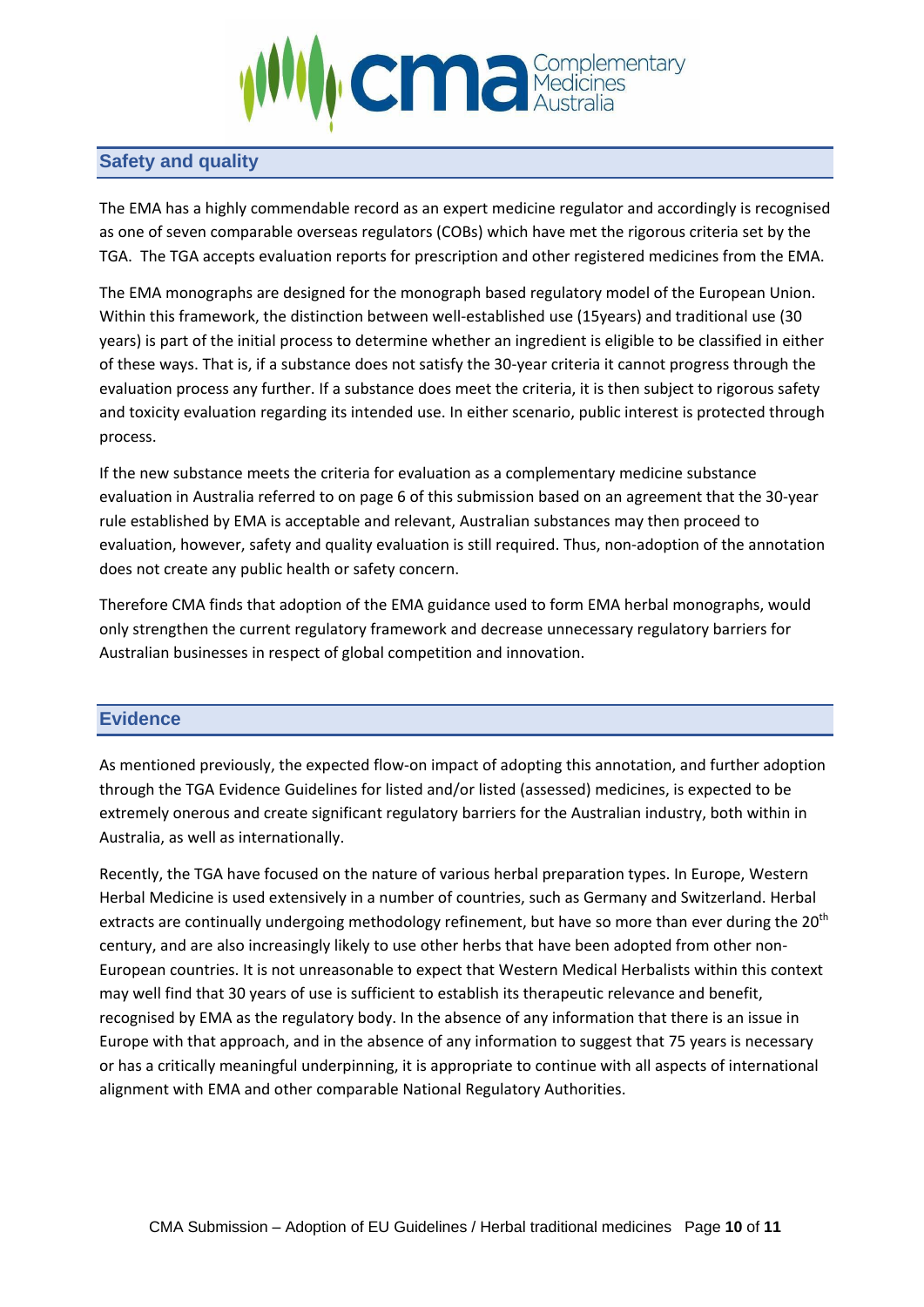

## <span id="page-9-0"></span>**Safety and quality**

The EMA has a highly commendable record as an expert medicine regulator and accordingly is recognised as one of seven comparable overseas regulators (COBs) which have met the rigorous criteria set by the TGA. The TGA accepts evaluation reports for prescription and other registered medicines from the EMA.

The EMA monographs are designed for the monograph based regulatory model of the European Union. Within this framework, the distinction between well-established use (15years) and traditional use (30 years) is part of the initial process to determine whether an ingredient is eligible to be classified in either of these ways. That is, if a substance does not satisfy the 30-year criteria it cannot progress through the evaluation process any further. If a substance does meet the criteria, it is then subject to rigorous safety and toxicity evaluation regarding its intended use. In either scenario, public interest is protected through process.

If the new substance meets the criteria for evaluation as a complementary medicine substance evaluation in Australia referred to on page 6 of this submission based on an agreement that the 30-year rule established by EMA is acceptable and relevant, Australian substances may then proceed to evaluation, however, safety and quality evaluation is still required. Thus, non-adoption of the annotation does not create any public health or safety concern.

Therefore CMA finds that adoption of the EMA guidance used to form EMA herbal monographs, would only strengthen the current regulatory framework and decrease unnecessary regulatory barriers for Australian businesses in respect of global competition and innovation.

## <span id="page-9-1"></span>**Evidence**

As mentioned previously, the expected flow-on impact of adopting this annotation, and further adoption through the TGA Evidence Guidelines for listed and/or listed (assessed) medicines, is expected to be extremely onerous and create significant regulatory barriers for the Australian industry, both within in Australia, as well as internationally.

Recently, the TGA have focused on the nature of various herbal preparation types. In Europe, Western Herbal Medicine is used extensively in a number of countries, such as Germany and Switzerland. Herbal extracts are continually undergoing methodology refinement, but have so more than ever during the 20<sup>th</sup> century, and are also increasingly likely to use other herbs that have been adopted from other non-European countries. It is not unreasonable to expect that Western Medical Herbalists within this context may well find that 30 years of use is sufficient to establish its therapeutic relevance and benefit, recognised by EMA as the regulatory body. In the absence of any information that there is an issue in Europe with that approach, and in the absence of any information to suggest that 75 years is necessary or has a critically meaningful underpinning, it is appropriate to continue with all aspects of international alignment with EMA and other comparable National Regulatory Authorities.